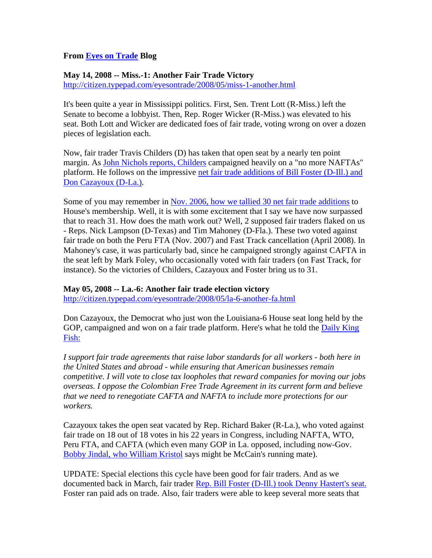## **From Eyes on Trade Blog**

## **May 14, 2008 -- Miss.-1: Another Fair Trade Victory**  http://citizen.typepad.com/eyesontrade/2008/05/miss-1-another.html

It's been quite a year in Mississippi politics. First, Sen. Trent Lott (R-Miss.) left the Senate to become a lobbyist. Then, Rep. Roger Wicker (R-Miss.) was elevated to his seat. Both Lott and Wicker are dedicated foes of fair trade, voting wrong on over a dozen pieces of legislation each.

Now, fair trader Travis Childers (D) has taken that open seat by a nearly ten point margin. As John Nichols reports, Childers campaigned heavily on a "no more NAFTAs" platform. He follows on the impressive net fair trade additions of Bill Foster (D-Ill.) and Don Cazayoux (D-La.).

Some of you may remember in Nov. 2006, how we tallied 30 net fair trade additions to House's membership. Well, it is with some excitement that I say we have now surpassed that to reach 31. How does the math work out? Well, 2 supposed fair traders flaked on us - Reps. Nick Lampson (D-Texas) and Tim Mahoney (D-Fla.). These two voted against fair trade on both the Peru FTA (Nov. 2007) and Fast Track cancellation (April 2008). In Mahoney's case, it was particularly bad, since he campaigned strongly against CAFTA in the seat left by Mark Foley, who occasionally voted with fair traders (on Fast Track, for instance). So the victories of Childers, Cazayoux and Foster bring us to 31.

## **May 05, 2008 -- La.-6: Another fair trade election victory**

http://citizen.typepad.com/eyesontrade/2008/05/la-6-another-fa.html

Don Cazayoux, the Democrat who just won the Louisiana-6 House seat long held by the GOP, campaigned and won on a fair trade platform. Here's what he told the Daily King Fish:

*I support fair trade agreements that raise labor standards for all workers - both here in the United States and abroad - while ensuring that American businesses remain competitive. I will vote to close tax loopholes that reward companies for moving our jobs overseas. I oppose the Colombian Free Trade Agreement in its current form and believe that we need to renegotiate CAFTA and NAFTA to include more protections for our workers.* 

Cazayoux takes the open seat vacated by Rep. Richard Baker (R-La.), who voted against fair trade on 18 out of 18 votes in his 22 years in Congress, including NAFTA, WTO, Peru FTA, and CAFTA (which even many GOP in La. opposed, including now-Gov. Bobby Jindal, who William Kristol says might be McCain's running mate).

UPDATE: Special elections this cycle have been good for fair traders. And as we documented back in March, fair trader Rep. Bill Foster (D-Ill.) took Denny Hastert's seat. Foster ran paid ads on trade. Also, fair traders were able to keep several more seats that